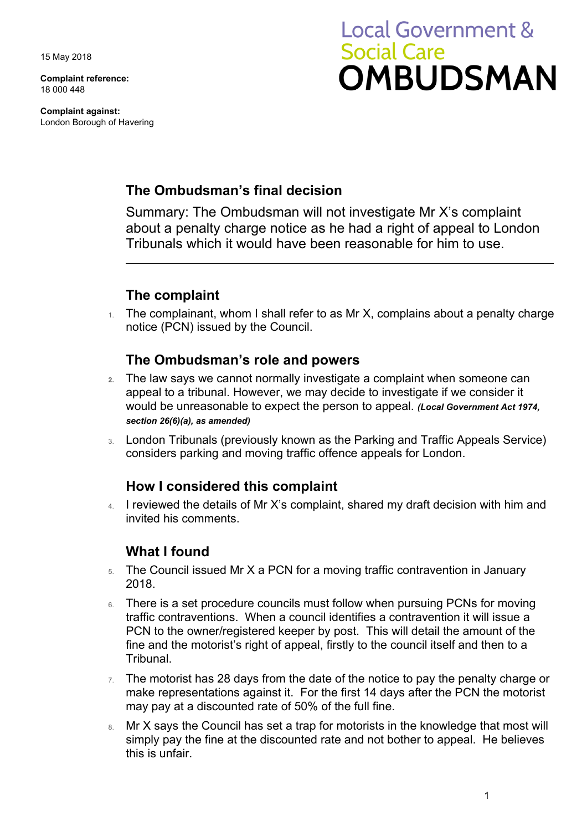15 May 2018

**Complaint reference:**  18 000 448

**Complaint against:**  London Borough of Havering

# **Local Government & Social Care** OMBUDSMAN

# **The Ombudsman's final decision**

 Tribunals which it would have been reasonable for him to use. Summary: The Ombudsman will not investigate Mr X's complaint about a penalty charge notice as he had a right of appeal to London

## **The complaint**

1. The complainant, whom I shall refer to as Mr X, complains about a penalty charge notice (PCN) issued by the Council.

### **The Ombudsman's role and powers**

- **2.** The law says we cannot normally investigate a complaint when someone can appeal to a tribunal. However, we may decide to investigate if we consider it would be unreasonable to expect the person to appeal. *(Local Government Act 1974, section 26(6)(a), as amended)*
- 3. London Tribunals (previously known as the Parking and Traffic Appeals Service) considers parking and moving traffic offence appeals for London.

#### **How I considered this complaint**

4. I reviewed the details of Mr X's complaint, shared my draft decision with him and invited his comments.

### **What I found**

- 5. The Council issued Mr X a PCN for a moving traffic contravention in January 2018.
- fine and the motorist's right of appeal, firstly to the council itself and then to a 6. There is a set procedure councils must follow when pursuing PCNs for moving traffic contraventions. When a council identifies a contravention it will issue a PCN to the owner/registered keeper by post. This will detail the amount of the Tribunal.
- $7.$  The motorist has 28 days from the date of the notice to pay the penalty charge or make representations against it. For the first 14 days after the PCN the motorist may pay at a discounted rate of 50% of the full fine.
- 8. Mr X says the Council has set a trap for motorists in the knowledge that most will simply pay the fine at the discounted rate and not bother to appeal. He believes this is unfair.